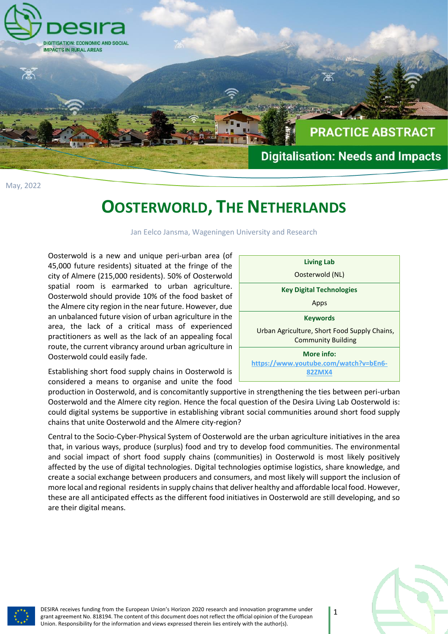

May, 2022

## **OOSTERWORLD, THE NETHERLANDS**

Jan Eelco Jansma, Wageningen University and Research

Oosterwold is a new and unique peri-urban area (of 45,000 future residents) situated at the fringe of the city of Almere (215,000 residents). 50% of Oosterwold spatial room is earmarked to urban agriculture. Oosterwold should provide 10% of the food basket of the Almere city region in the near future. However, due an unbalanced future vision of urban agriculture in the area, the lack of a critical mass of experienced practitioners as well as the lack of an appealing focal route, the current vibrancy around urban agriculture in Oosterwold could easily fade.

**Living Lab** Oosterwold (NL) **Key Digital Technologies** Apps **Keywords** Urban Agriculture, Short Food Supply Chains, Community Building **More info: [https://www.youtube.com/watch?v=bEn6-](https://www.youtube.com/watch?v=bEn6-82ZMX4) [82ZMX4](https://www.youtube.com/watch?v=bEn6-82ZMX4)**

Establishing short food supply chains in Oosterwold is considered a means to organise and unite the food

production in Oosterwold, and is concomitantly supportive in strengthening the ties between peri-urban Oosterwold and the Almere city region. Hence the focal question of the Desira Living Lab Oosterwold is: could digital systems be supportive in establishing vibrant social communities around short food supply chains that unite Oosterwold and the Almere city-region?

Central to the Socio-Cyber-Physical System of Oosterwold are the urban agriculture initiatives in the area that, in various ways, produce (surplus) food and try to develop food communities. The environmental and social impact of short food supply chains (communities) in Oosterwold is most likely positively affected by the use of digital technologies. Digital technologies optimise logistics, share knowledge, and create a social exchange between producers and consumers, and most likely will support the inclusion of more local and regional residents in supply chains that deliver healthy and affordable local food. However, these are all anticipated effects as the different food initiatives in Oosterwold are still developing, and so are their digital means.



DESIRA receives funding from the European Union's Horizon 2020 research and innovation programme under grant agreement No. 818194. The content of this document does not reflect the official opinion of the European Union. Responsibility for the information and views expressed therein lies entirely with the author(s).